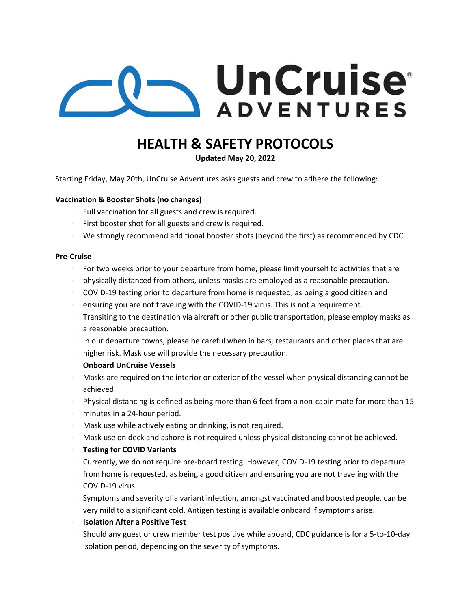

## **HEALTH & SAFETY PROTOCOLS**

**Updated May 20, 2022**

Starting Friday, May 20th, UnCruise Adventures asks guests and crew to adhere the following:

#### **Vaccination & Booster Shots (no changes)**

- $\cdot$  Full vaccination for all guests and crew is required.
- $\cdot$  First booster shot for all guests and crew is required.
- We strongly recommend additional booster shots (beyond the first) as recommended by CDC.

#### **Pre‐Cruise**

- For two weeks prior to your departure from home, please limit yourself to activities that are
- physically distanced from others, unless masks are employed as a reasonable precaution.
- COVID‐19 testing prior to departure from home is requested, as being a good citizen and
- ensuring you are not traveling with the COVID‐19 virus. This is not a requirement.  $\ddot{\phantom{0}}$
- Transiting to the destination via aircraft or other public transportation, please employ masks as
- $\ddot{\phantom{0}}$ a reasonable precaution.
- In our departure towns, please be careful when in bars, restaurants and other places that are
- higher risk. Mask use will provide the necessary precaution.  $\bullet$  .
- **Onboard UnCruise Vessels**
- Masks are required on the interior or exterior of the vessel when physical distancing cannot be
- achieved.
- Physical distancing is defined as being more than 6 feet from a non-cabin mate for more than 15
- minutes in a 24‐hour period.
- Mask use while actively eating or drinking, is not required.
- Mask use on deck and ashore is not required unless physical distancing cannot be achieved.
- **Testing for COVID Variants**
- Currently, we do not require pre‐board testing. However, COVID‐19 testing prior to departure
- from home is requested, as being a good citizen and ensuring you are not traveling with the
- COVID‐19 virus.
- Symptoms and severity of a variant infection, amongst vaccinated and boosted people, can be
- very mild to a significant cold. Antigen testing is available onboard if symptoms arise.
- **Isolation After a Positive Test**
- Should any guest or crew member test positive while aboard, CDC guidance is for a 5‐to‐10‐day
- isolation period, depending on the severity of symptoms.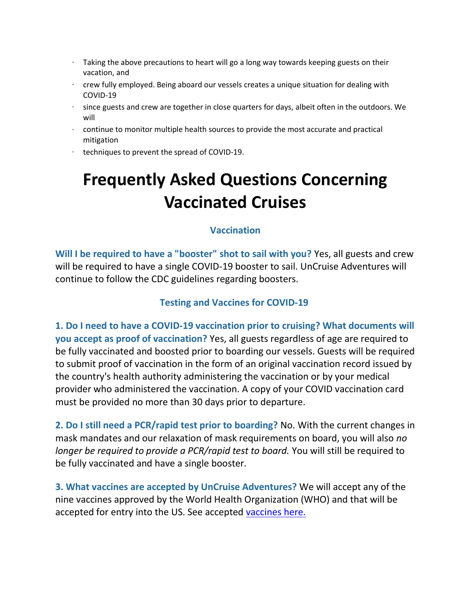- $\cdot$  Taking the above precautions to heart will go a long way towards keeping guests on their vacation, and
- $\cdot$  crew fully employed. Being aboard our vessels creates a unique situation for dealing with COVID‐19
- $\cdot$  since guests and crew are together in close quarters for days, albeit often in the outdoors. We will
- $\cdot$  continue to monitor multiple health sources to provide the most accurate and practical mitigation
- techniques to prevent the spread of COVID-19.

# **Frequently Asked Questions Concerning Vaccinated Cruises**

#### **Vaccination**

**Will I be required to have a "booster" shot to sail with you?** Yes, all guests and crew will be required to have a single COVID-19 booster to sail. UnCruise Adventures will continue to follow the CDC guidelines regarding boosters.

### **Testing and Vaccines for COVID-19**

**1. Do I need to have a COVID-19 vaccination prior to cruising? What documents will you accept as proof of vaccination?** Yes, all guests regardless of age are required to be fully vaccinated and boosted prior to boarding our vessels. Guests will be required to submit proof of vaccination in the form of an original vaccination record issued by the country's health authority administering the vaccination or by your medical provider who administered the vaccination. A copy of your COVID vaccination card must be provided no more than 30 days prior to departure.

**2. Do I still need a PCR/rapid test prior to boarding?** No. With the current changes in mask mandates and our relaxation of mask requirements on board, you will also *no longer be required to provide a PCR/rapid test to board.* You will still be required to be fully vaccinated and have a single booster.

**3. What vaccines are accepted by UnCruise Adventures?** We will accept any of the nine vaccines approved by the World Health Organization (WHO) and that will be accepted for entry into the US. See accepted [vaccines here.](https://www.who.int/emergencies/diseases/novel-coronavirus-2019/question-and-answers-hub/q-a-detail/coronavirus-disease-(covid-19)-vaccines)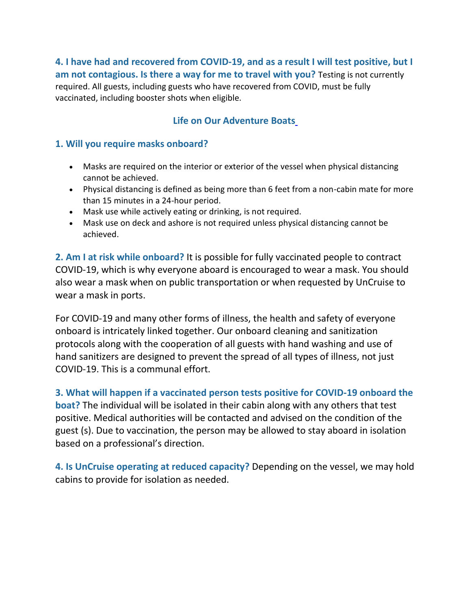**4. I have had and recovered from COVID-19, and as a result I will test positive, but I am not contagious. Is there a way for me to travel with you?** Testing is not currently required. All guests, including guests who have recovered from COVID, must be fully vaccinated, including booster shots when eligible.

### **Life on Our Adventure Boats**

### **1. Will you require masks onboard?**

- Masks are required on the interior or exterior of the vessel when physical distancing cannot be achieved.
- Physical distancing is defined as being more than 6 feet from a non-cabin mate for more than 15 minutes in a 24-hour period.
- Mask use while actively eating or drinking, is not required.
- Mask use on deck and ashore is not required unless physical distancing cannot be achieved.

**2. Am I at risk while onboard?** It is possible for fully vaccinated people to contract COVID-19, which is why everyone aboard is encouraged to wear a mask. You should also wear a mask when on public transportation or when requested by UnCruise to wear a mask in ports.

For COVID-19 and many other forms of illness, the health and safety of everyone onboard is intricately linked together. Our onboard cleaning and sanitization protocols along with the cooperation of all guests with hand washing and use of hand sanitizers are designed to prevent the spread of all types of illness, not just COVID-19. This is a communal effort.

#### **3. What will happen if a vaccinated person tests positive for COVID-19 onboard the**

**boat?** The individual will be isolated in their cabin along with any others that test positive. Medical authorities will be contacted and advised on the condition of the guest (s). Due to vaccination, the person may be allowed to stay aboard in isolation based on a professional's direction.

**4. Is UnCruise operating at reduced capacity?** Depending on the vessel, we may hold cabins to provide for isolation as needed.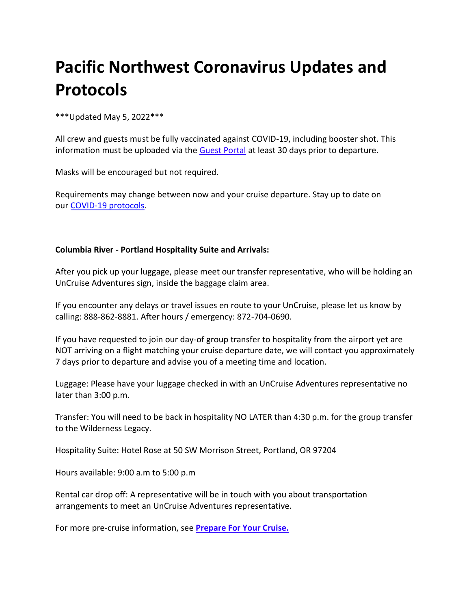# **Pacific Northwest Coronavirus Updates and Protocols**

#### \*\*\*Updated May 5, 2022\*\*\*

All crew and guests must be fully vaccinated against COVID-19, including booster shot. This information must be uploaded via the [Guest Portal](https://guests.uncruise.com/customers/login) at least 30 days prior to departure.

Masks will be encouraged but not required.

Requirements may change between now and your cruise departure. Stay up to date on our [COVID-19 protocols.](https://f.hubspotusercontent10.net/hubfs/4789410/Marketing/PDFs/Operations/Health-Safety/UnCruise_COVID-Protocols.pdf)

#### **Columbia River - Portland Hospitality Suite and Arrivals:**

After you pick up your luggage, please meet our transfer representative, who will be holding an UnCruise Adventures sign, inside the baggage claim area.

If you encounter any delays or travel issues en route to your UnCruise, please let us know by calling: 888-862-8881. After hours / emergency: 872-704-0690.

If you have requested to join our day-of group transfer to hospitality from the airport yet are NOT arriving on a flight matching your cruise departure date, we will contact you approximately 7 days prior to departure and advise you of a meeting time and location.

Luggage: Please have your luggage checked in with an UnCruise Adventures representative no later than 3:00 p.m.

Transfer: You will need to be back in hospitality NO LATER than 4:30 p.m. for the group transfer to the Wilderness Legacy.

Hospitality Suite: Hotel Rose at 50 SW Morrison Street, Portland, OR 97204

Hours available: 9:00 a.m to 5:00 p.m

Rental car drop off: A representative will be in touch with you about transportation arrangements to meet an UnCruise Adventures representative.

For more pre-cruise information, see **[Prepare For Your Cruise.](https://uncruise.com/pages/prepare-to-cruise)**